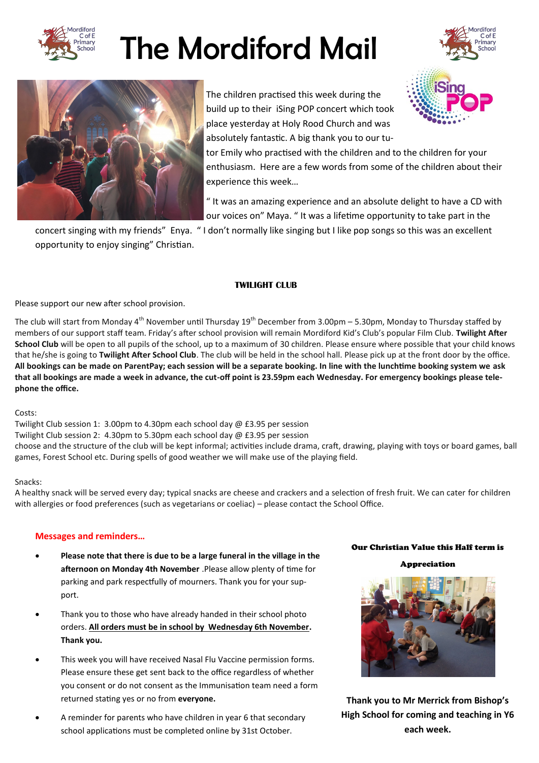

# The Mordiford Mail





The children practised this week during the build up to their iSing POP concert which took place yesterday at Holy Rood Church and was absolutely fantastic. A big thank you to our tu-

tor Emily who practised with the children and to the children for your enthusiasm. Here are a few words from some of the children about their experience this week…

" It was an amazing experience and an absolute delight to have a CD with our voices on" Maya. " It was a lifetime opportunity to take part in the

concert singing with my friends" Enya. " I don't normally like singing but I like pop songs so this was an excellent opportunity to enjoy singing" Christian.

# **TWILIGHT CLUB**

Please support our new after school provision.

The club will start from Monday 4<sup>th</sup> November until Thursday  $19^{th}$  December from 3.00pm – 5.30pm, Monday to Thursday staffed by members of our support staff team. Friday's after school provision will remain Mordiford Kid's Club's popular Film Club. **Twilight After School Club** will be open to all pupils of the school, up to a maximum of 30 children. Please ensure where possible that your child knows that he/she is going to **Twilight After School Club**. The club will be held in the school hall. Please pick up at the front door by the office. **All bookings can be made on ParentPay; each session will be a separate booking. In line with the lunchtime booking system we ask that all bookings are made a week in advance, the cut-off point is 23.59pm each Wednesday. For emergency bookings please telephone the office.**

Costs:

Twilight Club session 1: 3.00pm to 4.30pm each school day @ £3.95 per session Twilight Club session 2: 4.30pm to 5.30pm each school day @ £3.95 per session choose and the structure of the club will be kept informal; activities include drama, craft, drawing, playing with toys or board games, ball games, Forest School etc. During spells of good weather we will make use of the playing field.

# Snacks:

A healthy snack will be served every day; typical snacks are cheese and crackers and a selection of fresh fruit. We can cater for children with allergies or food preferences (such as vegetarians or coeliac) – please contact the School Office.

# **Messages and reminders…**

- **Please note that there is due to be a large funeral in the village in the afternoon on Monday 4th November** .Please allow plenty of time for parking and park respectfully of mourners. Thank you for your support.
- Thank you to those who have already handed in their school photo orders. **All orders must be in school by Wednesday 6th November. Thank you.**
- This week you will have received Nasal Flu Vaccine permission forms. Please ensure these get sent back to the office regardless of whether you consent or do not consent as the Immunisation team need a form returned stating yes or no from **everyone.**
- A reminder for parents who have children in year 6 that secondary school applications must be completed online by 31st October.

# Our Christian Value this Half term is

Appreciation



**Thank you to Mr Merrick from Bishop's High School for coming and teaching in Y6 each week.**